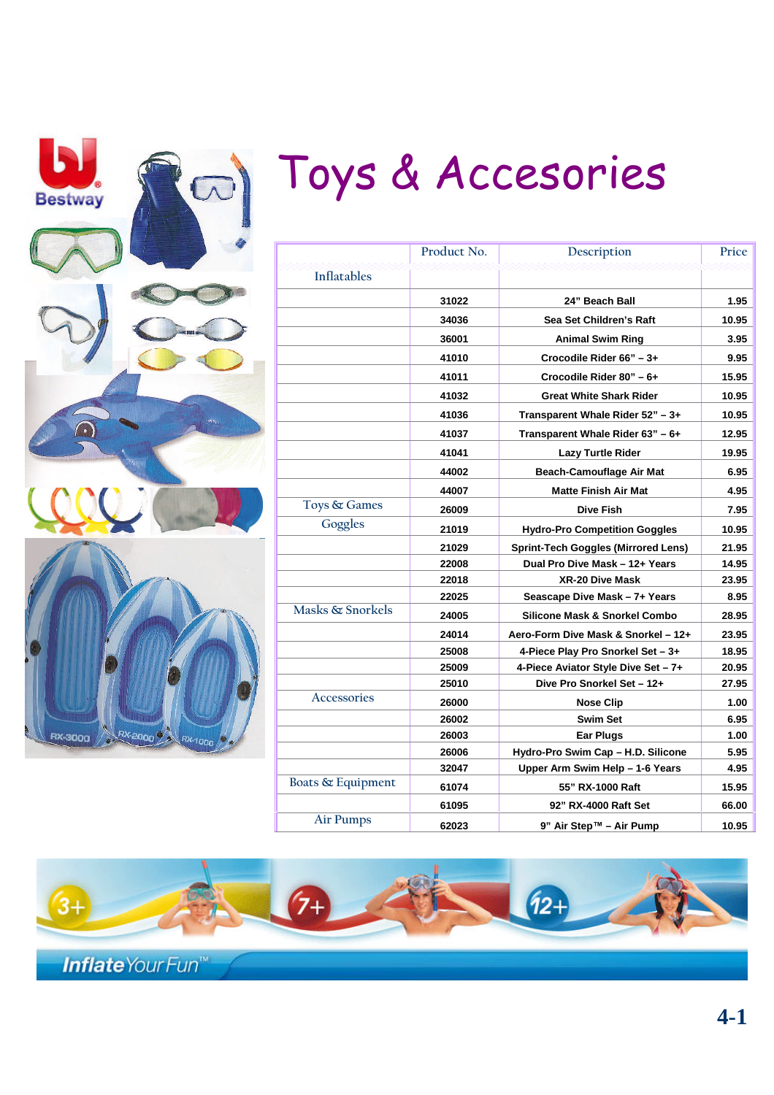| Ь<br>⊛<br><b>Bestway</b> |  |  |
|--------------------------|--|--|
|                          |  |  |
|                          |  |  |
|                          |  |  |
|                          |  |  |
|                          |  |  |

RX-2000 RX-1000

**RX-3000** 

# Toys & Accesories

|                    | Product No. | Description                                | Price |
|--------------------|-------------|--------------------------------------------|-------|
| <b>Inflatables</b> |             |                                            |       |
|                    | 31022       | 24" Beach Ball                             | 1.95  |
|                    | 34036       | Sea Set Children's Raft                    | 10.95 |
|                    | 36001       | <b>Animal Swim Ring</b>                    | 3.95  |
|                    | 41010       | Crocodile Rider 66" - 3+                   | 9.95  |
|                    | 41011       | Crocodile Rider 80" - 6+                   | 15.95 |
|                    | 41032       | <b>Great White Shark Rider</b>             | 10.95 |
|                    | 41036       | Transparent Whale Rider 52" - 3+           | 10.95 |
|                    | 41037       | Transparent Whale Rider 63" - 6+           | 12.95 |
|                    | 41041       | Lazy Turtle Rider                          | 19.95 |
|                    | 44002       | <b>Beach-Camouflage Air Mat</b>            | 6.95  |
|                    | 44007       | <b>Matte Finish Air Mat</b>                | 4.95  |
| Toys & Games       | 26009       | <b>Dive Fish</b>                           | 7.95  |
| Goggles            | 21019       | <b>Hydro-Pro Competition Goggles</b>       | 10.95 |
|                    | 21029       | <b>Sprint-Tech Goggles (Mirrored Lens)</b> | 21.95 |
|                    | 22008       | Dual Pro Dive Mask - 12+ Years             | 14.95 |
|                    | 22018       | <b>XR-20 Dive Mask</b>                     | 23.95 |
|                    | 22025       | Seascape Dive Mask – 7+ Years              | 8.95  |
| Masks & Snorkels   | 24005       | Silicone Mask & Snorkel Combo              | 28.95 |
|                    | 24014       | Aero-Form Dive Mask & Snorkel - 12+        | 23.95 |
|                    | 25008       | 4-Piece Play Pro Snorkel Set - 3+          | 18.95 |
|                    | 25009       | 4-Piece Aviator Style Dive Set - 7+        | 20.95 |
|                    | 25010       | Dive Pro Snorkel Set - 12+                 | 27.95 |
| Accessories        | 26000       | <b>Nose Clip</b>                           | 1.00  |
|                    | 26002       | <b>Swim Set</b>                            | 6.95  |
|                    | 26003       | Ear Plugs                                  | 1.00  |
|                    | 26006       | Hydro-Pro Swim Cap - H.D. Silicone         | 5.95  |
|                    | 32047       | Upper Arm Swim Help - 1-6 Years            | 4.95  |
| Boats & Equipment  | 61074       | 55" RX-1000 Raft                           | 15.95 |
|                    | 61095       | 92" RX-4000 Raft Set                       | 66.00 |
| <b>Air Pumps</b>   | 62023       | 9" Air Step™ - Air Pump                    | 10.95 |